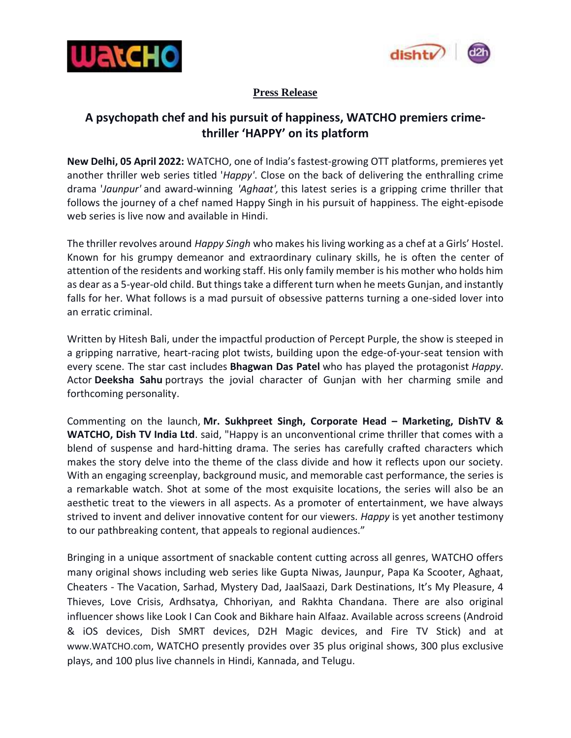



## **Press Release**

## **A psychopath chef and his pursuit of happiness, WATCHO premiers crimethriller 'HAPPY' on its platform**

**New Delhi, 05 April 2022:** WATCHO, one of India's fastest-growing OTT platforms, premieres yet another thriller web series titled '*Happy'*. Close on the back of delivering the enthralling crime drama '*Jaunpur'* and award-winning *'Aghaat',* this latest series is a gripping crime thriller that follows the journey of a chef named Happy Singh in his pursuit of happiness. The eight-episode web series is live now and available in Hindi.

The thriller revolves around *Happy Singh* who makes his living working as a chef at a Girls' Hostel. Known for his grumpy demeanor and extraordinary culinary skills, he is often the center of attention of the residents and working staff. His only family member is his mother who holds him as dear as a 5-year-old child. But things take a different turn when he meets Gunjan, and instantly falls for her. What follows is a mad pursuit of obsessive patterns turning a one-sided lover into an erratic criminal.

Written by Hitesh Bali, under the impactful production of Percept Purple, the show is steeped in a gripping narrative, heart-racing plot twists, building upon the edge-of-your-seat tension with every scene. The star cast includes **Bhagwan Das Patel** who has played the protagonist *Happy*. Actor **Deeksha Sahu** portrays the jovial character of Gunjan with her charming smile and forthcoming personality.

Commenting on the launch, **Mr. Sukhpreet Singh, Corporate Head – Marketing, DishTV & WATCHO, Dish TV India Ltd**. said, "Happy is an unconventional crime thriller that comes with a blend of suspense and hard-hitting drama. The series has carefully crafted characters which makes the story delve into the theme of the class divide and how it reflects upon our society. With an engaging screenplay, background music, and memorable cast performance, the series is a remarkable watch. Shot at some of the most exquisite locations, the series will also be an aesthetic treat to the viewers in all aspects. As a promoter of entertainment, we have always strived to invent and deliver innovative content for our viewers. *Happy* is yet another testimony to our pathbreaking content, that appeals to regional audiences."

Bringing in a unique assortment of snackable content cutting across all genres, WATCHO offers many original shows including web series like Gupta Niwas, Jaunpur, Papa Ka Scooter, Aghaat, Cheaters - The Vacation, Sarhad, Mystery Dad, JaalSaazi, Dark Destinations, It's My Pleasure, 4 Thieves, Love Crisis, Ardhsatya, Chhoriyan, and Rakhta Chandana. There are also original influencer shows like Look I Can Cook and Bikhare hain Alfaaz. Available across screens (Android & iOS devices, Dish SMRT devices, D2H Magic devices, and Fire TV Stick) and at [www.WATCHO.com](https://nam02.safelinks.protection.outlook.com/?url=http%3A%2F%2Fwww.watcho.com%2F&data=04%7C01%7Ccharu.chhabra%40mslgroup.com%7C87181e387fd946ae794d08da161abd69%7Cd52c9ea17c2147b182a333a74b1f74b8%7C0%7C0%7C637846601349619219%7CUnknown%7CTWFpbGZsb3d8eyJWIjoiMC4wLjAwMDAiLCJQIjoiV2luMzIiLCJBTiI6Ik1haWwiLCJXVCI6Mn0%3D%7C3000&sdata=u%2Bq2pdjzFeiw9ypIfskH31dFoqJIVvKrJ5X75hlqZ9I%3D&reserved=0), WATCHO presently provides over 35 plus original shows, 300 plus exclusive plays, and 100 plus live channels in Hindi, Kannada, and Telugu.